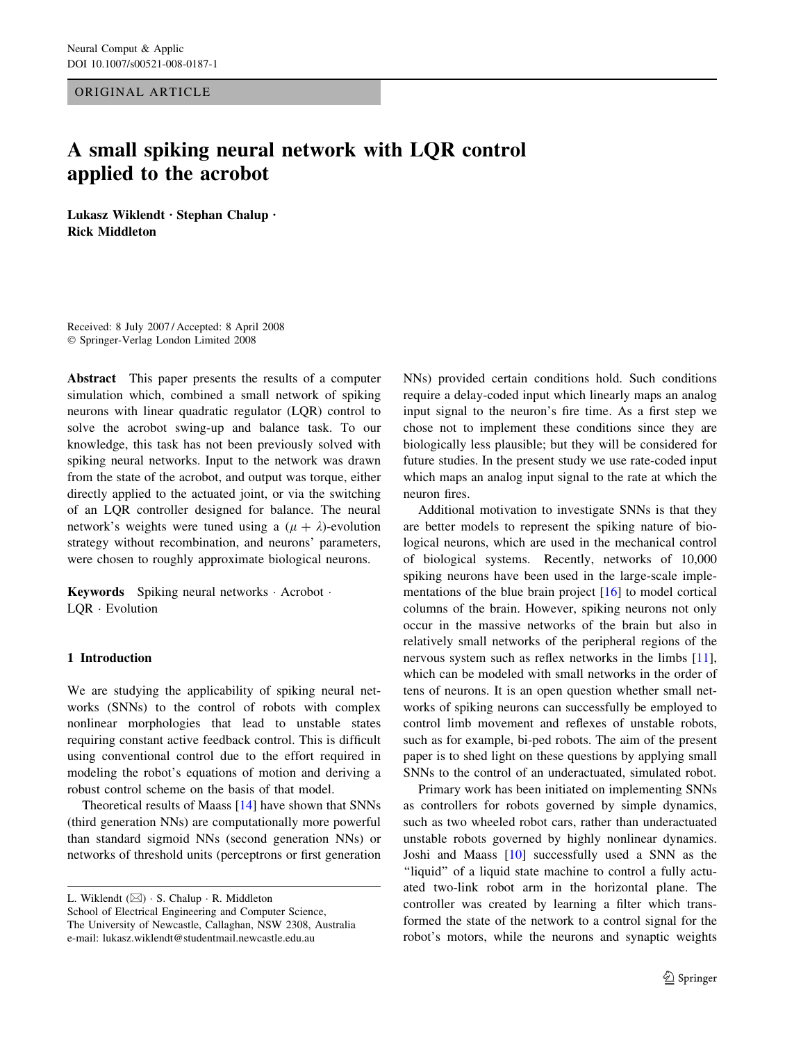ORIGINAL ARTICLE

# A small spiking neural network with LQR control applied to the acrobot

Lukasz Wiklendt · Stephan Chalup · Rick Middleton

Received: 8 July 2007 / Accepted: 8 April 2008 Springer-Verlag London Limited 2008

Abstract This paper presents the results of a computer simulation which, combined a small network of spiking neurons with linear quadratic regulator (LQR) control to solve the acrobot swing-up and balance task. To our knowledge, this task has not been previously solved with spiking neural networks. Input to the network was drawn from the state of the acrobot, and output was torque, either directly applied to the actuated joint, or via the switching of an LQR controller designed for balance. The neural network's weights were tuned using a  $(\mu + \lambda)$ -evolution strategy without recombination, and neurons' parameters, were chosen to roughly approximate biological neurons.

Keywords Spiking neural networks · Acrobot · LQR · Evolution

# 1 Introduction

We are studying the applicability of spiking neural networks (SNNs) to the control of robots with complex nonlinear morphologies that lead to unstable states requiring constant active feedback control. This is difficult using conventional control due to the effort required in modeling the robot's equations of motion and deriving a robust control scheme on the basis of that model.

Theoretical results of Maass [[14\]](#page-6-0) have shown that SNNs (third generation NNs) are computationally more powerful than standard sigmoid NNs (second generation NNs) or networks of threshold units (perceptrons or first generation

L. Wiklendt  $(\boxtimes) \cdot$  S. Chalup  $\cdot$  R. Middleton

School of Electrical Engineering and Computer Science, The University of Newcastle, Callaghan, NSW 2308, Australia e-mail: lukasz.wiklendt@studentmail.newcastle.edu.au

NNs) provided certain conditions hold. Such conditions require a delay-coded input which linearly maps an analog input signal to the neuron's fire time. As a first step we chose not to implement these conditions since they are biologically less plausible; but they will be considered for future studies. In the present study we use rate-coded input which maps an analog input signal to the rate at which the neuron fires.

Additional motivation to investigate SNNs is that they are better models to represent the spiking nature of biological neurons, which are used in the mechanical control of biological systems. Recently, networks of 10,000 spiking neurons have been used in the large-scale implementations of the blue brain project [[16\]](#page-6-0) to model cortical columns of the brain. However, spiking neurons not only occur in the massive networks of the brain but also in relatively small networks of the peripheral regions of the nervous system such as reflex networks in the limbs [\[11](#page-6-0)], which can be modeled with small networks in the order of tens of neurons. It is an open question whether small networks of spiking neurons can successfully be employed to control limb movement and reflexes of unstable robots, such as for example, bi-ped robots. The aim of the present paper is to shed light on these questions by applying small SNNs to the control of an underactuated, simulated robot.

Primary work has been initiated on implementing SNNs as controllers for robots governed by simple dynamics, such as two wheeled robot cars, rather than underactuated unstable robots governed by highly nonlinear dynamics. Joshi and Maass [\[10](#page-6-0)] successfully used a SNN as the "liquid" of a liquid state machine to control a fully actuated two-link robot arm in the horizontal plane. The controller was created by learning a filter which transformed the state of the network to a control signal for the robot's motors, while the neurons and synaptic weights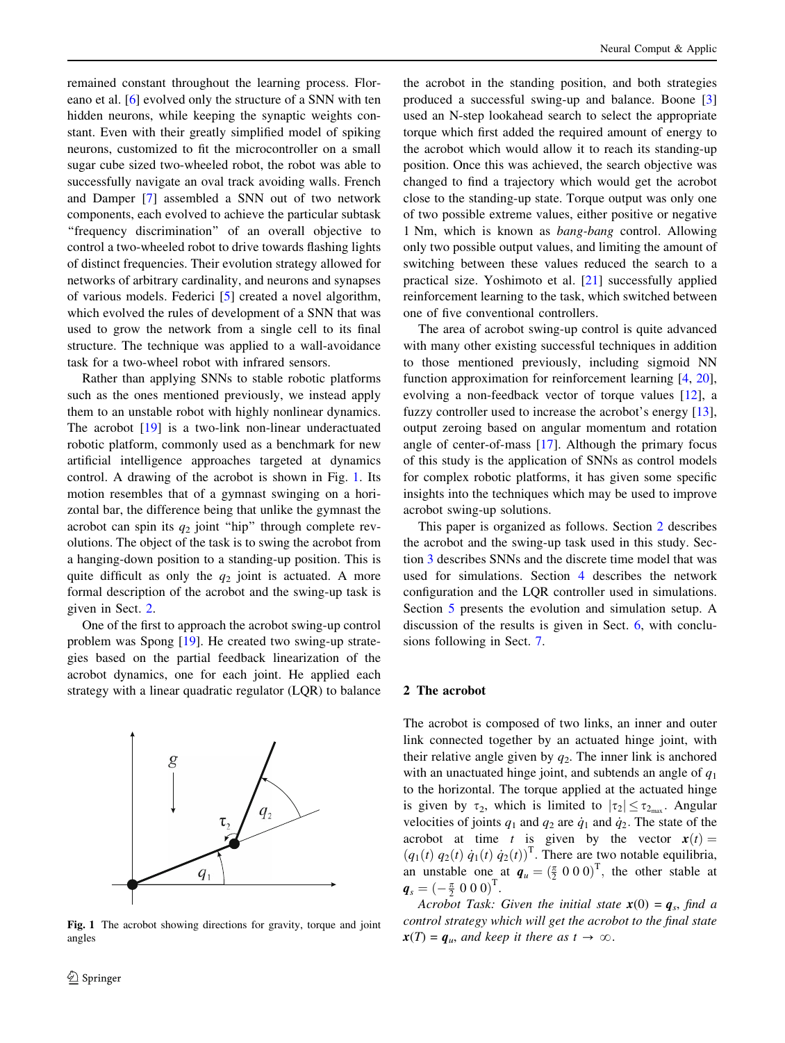remained constant throughout the learning process. Floreano et al. [\[6](#page-6-0)] evolved only the structure of a SNN with ten hidden neurons, while keeping the synaptic weights constant. Even with their greatly simplified model of spiking neurons, customized to fit the microcontroller on a small sugar cube sized two-wheeled robot, the robot was able to successfully navigate an oval track avoiding walls. French and Damper [\[7\]](#page-6-0) assembled a SNN out of two network components, each evolved to achieve the particular subtask ''frequency discrimination'' of an overall objective to control a two-wheeled robot to drive towards flashing lights of distinct frequencies. Their evolution strategy allowed for networks of arbitrary cardinality, and neurons and synapses of various models. Federici [[5\]](#page-6-0) created a novel algorithm, which evolved the rules of development of a SNN that was used to grow the network from a single cell to its final structure. The technique was applied to a wall-avoidance task for a two-wheel robot with infrared sensors.

Rather than applying SNNs to stable robotic platforms such as the ones mentioned previously, we instead apply them to an unstable robot with highly nonlinear dynamics. The acrobot [[19\]](#page-6-0) is a two-link non-linear underactuated robotic platform, commonly used as a benchmark for new artificial intelligence approaches targeted at dynamics control. A drawing of the acrobot is shown in Fig. 1. Its motion resembles that of a gymnast swinging on a horizontal bar, the difference being that unlike the gymnast the acrobot can spin its  $q_2$  joint "hip" through complete revolutions. The object of the task is to swing the acrobot from a hanging-down position to a standing-up position. This is quite difficult as only the  $q_2$  joint is actuated. A more formal description of the acrobot and the swing-up task is given in Sect. 2.

One of the first to approach the acrobot swing-up control problem was Spong [[19\]](#page-6-0). He created two swing-up strategies based on the partial feedback linearization of the acrobot dynamics, one for each joint. He applied each strategy with a linear quadratic regulator (LQR) to balance



g

**Fig. 1** The acrobot showing directions for gravity, torque and joint control strategy which will get the acrobot showing directions for gravity, torque and joint  $x(T) = q_u$ , and keep it there as  $t \to \infty$ . angles

the acrobot in the standing position, and both strategies produced a successful swing-up and balance. Boone [[3\]](#page-6-0) used an N-step lookahead search to select the appropriate torque which first added the required amount of energy to the acrobot which would allow it to reach its standing-up position. Once this was achieved, the search objective was changed to find a trajectory which would get the acrobot close to the standing-up state. Torque output was only one of two possible extreme values, either positive or negative 1 Nm, which is known as bang-bang control. Allowing only two possible output values, and limiting the amount of switching between these values reduced the search to a practical size. Yoshimoto et al. [\[21](#page-6-0)] successfully applied reinforcement learning to the task, which switched between one of five conventional controllers.

The area of acrobot swing-up control is quite advanced with many other existing successful techniques in addition to those mentioned previously, including sigmoid NN function approximation for reinforcement learning [[4,](#page-6-0) [20](#page-6-0)], evolving a non-feedback vector of torque values [\[12](#page-6-0)], a fuzzy controller used to increase the acrobot's energy [\[13](#page-6-0)], output zeroing based on angular momentum and rotation angle of center-of-mass [\[17](#page-6-0)]. Although the primary focus of this study is the application of SNNs as control models for complex robotic platforms, it has given some specific insights into the techniques which may be used to improve acrobot swing-up solutions.

This paper is organized as follows. Section 2 describes the acrobot and the swing-up task used in this study. Section [3](#page-2-0) describes SNNs and the discrete time model that was used for simulations. Section [4](#page-3-0) describes the network configuration and the LQR controller used in simulations. Section [5](#page-4-0) presents the evolution and simulation setup. A discussion of the results is given in Sect. [6](#page-5-0), with conclusions following in Sect. [7](#page-6-0).

#### 2 The acrobot

The acrobot is composed of two links, an inner and outer link connected together by an actuated hinge joint, with their relative angle given by  $q_2$ . The inner link is anchored with an unactuated hinge joint, and subtends an angle of  $q_1$ to the horizontal. The torque applied at the actuated hinge is given by  $\tau_2$ , which is limited to  $|\tau_2| \leq \tau_{2_{\text{max}}}$ . Angular velocities of joints  $q_1$  and  $q_2$  are  $\dot{q}_1$  and  $\dot{q}_2$ . The state of the acrobot at time t is given by the vector  $x(t) =$  $(q_1(t) q_2(t) \dot{q}_1(t) \dot{q}_2(t))^T$ . There are two notable equilibria, an unstable one at  $q_u = (\frac{\pi}{2} \ 0 \ 0 \ 0)^T$ , the other stable at  $q_s = \left(-\frac{\pi}{2} \ 0 \ 0 \ 0\right)^{\mathrm{T}}$ .

Acrobot Task: Given the initial state  $x(0) = q_s$ , find a control strategy which will get the acrobot to the final state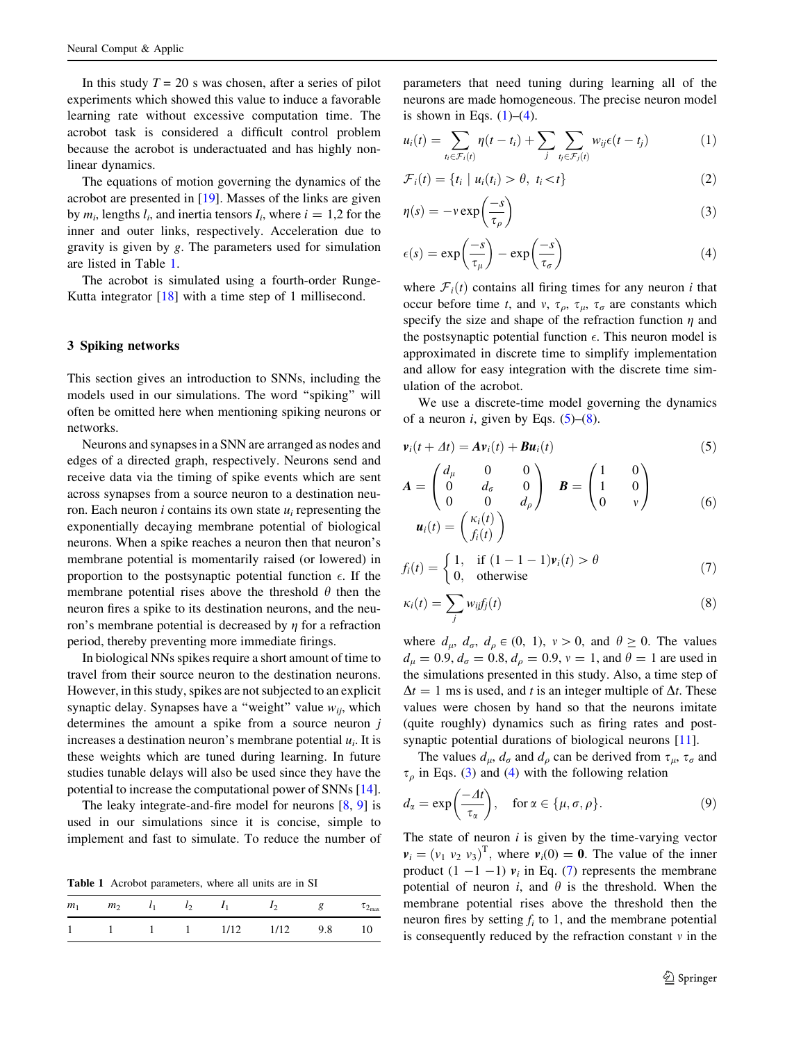<span id="page-2-0"></span>In this study  $T = 20$  s was chosen, after a series of pilot experiments which showed this value to induce a favorable learning rate without excessive computation time. The acrobot task is considered a difficult control problem because the acrobot is underactuated and has highly nonlinear dynamics.

The equations of motion governing the dynamics of the acrobot are presented in [\[19](#page-6-0)]. Masses of the links are given by  $m_i$ , lengths  $l_i$ , and inertia tensors  $I_i$ , where  $i = 1,2$  for the inner and outer links, respectively. Acceleration due to gravity is given by g. The parameters used for simulation are listed in Table 1.

The acrobot is simulated using a fourth-order Runge-Kutta integrator [\[18](#page-6-0)] with a time step of 1 millisecond.

## 3 Spiking networks

This section gives an introduction to SNNs, including the models used in our simulations. The word ''spiking'' will often be omitted here when mentioning spiking neurons or networks.

Neurons and synapses in a SNN are arranged as nodes and edges of a directed graph, respectively. Neurons send and receive data via the timing of spike events which are sent across synapses from a source neuron to a destination neuron. Each neuron *i* contains its own state  $u_i$  representing the exponentially decaying membrane potential of biological neurons. When a spike reaches a neuron then that neuron's membrane potential is momentarily raised (or lowered) in proportion to the postsynaptic potential function  $\epsilon$ . If the membrane potential rises above the threshold  $\theta$  then the neuron fires a spike to its destination neurons, and the neuron's membrane potential is decreased by  $\eta$  for a refraction period, thereby preventing more immediate firings.

In biological NNs spikes require a short amount of time to travel from their source neuron to the destination neurons. However, in this study, spikes are not subjected to an explicit synaptic delay. Synapses have a "weight" value  $w_{ij}$ , which determines the amount a spike from a source neuron j increases a destination neuron's membrane potential  $u_i$ . It is these weights which are tuned during learning. In future studies tunable delays will also be used since they have the potential to increase the computational power of SNNs [\[14](#page-6-0)].

The leaky integrate-and-fire model for neurons  $[8, 9]$  $[8, 9]$  $[8, 9]$  is used in our simulations since it is concise, simple to implement and fast to simulate. To reduce the number of

Table 1 Acrobot parameters, where all units are in SI

| m <sub>1</sub> | m <sub>2</sub> | $\iota$ | I <sub>1</sub> | $\mathbf{I}$ | g   | $\mathcal{L}_{\text{max}}$ |
|----------------|----------------|---------|----------------|--------------|-----|----------------------------|
|                |                |         | 1/12           | 1/12         | 9.8 | 10                         |

parameters that need tuning during learning all of the neurons are made homogeneous. The precise neuron model is shown in Eqs.  $(1)$ – $(4)$ .

$$
u_i(t) = \sum_{t_i \in \mathcal{F}_i(t)} \eta(t - t_i) + \sum_j \sum_{t_j \in \mathcal{F}_j(t)} w_{ij} \epsilon(t - t_j)
$$
(1)

$$
\mathcal{F}_i(t) = \{t_i \mid u_i(t_i) > \theta, \ t_i < t\} \tag{2}
$$

$$
\eta(s) = -v \exp\left(\frac{-s}{\tau_{\rho}}\right) \tag{3}
$$

$$
\epsilon(s) = \exp\left(\frac{-s}{\tau_{\mu}}\right) - \exp\left(\frac{-s}{\tau_{\sigma}}\right) \tag{4}
$$

where  $\mathcal{F}_i(t)$  contains all firing times for any neuron i that occur before time t, and v,  $\tau_a$ ,  $\tau_a$ ,  $\tau_a$  are constants which specify the size and shape of the refraction function  $\eta$  and the postsynaptic potential function  $\epsilon$ . This neuron model is approximated in discrete time to simplify implementation and allow for easy integration with the discrete time simulation of the acrobot.

We use a discrete-time model governing the dynamics of a neuron *i*, given by Eqs.  $(5)-(8)$ .

$$
\mathbf{v}_i(t + \varDelta t) = A \mathbf{v}_i(t) + B \mathbf{u}_i(t) \tag{5}
$$

$$
\mathbf{A} = \begin{pmatrix} d_{\mu} & 0 & 0 \\ 0 & d_{\sigma} & 0 \\ 0 & 0 & d_{\rho} \end{pmatrix} \quad \mathbf{B} = \begin{pmatrix} 1 & 0 \\ 1 & 0 \\ 0 & v \end{pmatrix} \tag{6}
$$
\n
$$
\mathbf{u}_i(t) = \begin{pmatrix} \kappa_i(t) \\ f_i(t) \end{pmatrix}
$$

$$
f_i(t) = \begin{cases} 1, & \text{if } (1 - 1 - 1)\mathbf{v}_i(t) > \theta \\ 0, & \text{otherwise} \end{cases}
$$
(7)

$$
\kappa_i(t) = \sum_j w_{ij} f_j(t) \tag{8}
$$

where  $d_{\mu}$ ,  $d_{\sigma}$ ,  $d_{\rho} \in (0, 1)$ ,  $\nu > 0$ , and  $\theta \ge 0$ . The values  $d_{\mu} = 0.9, d_{\sigma} = 0.8, d_{\rho} = 0.9, v = 1, \text{ and } \theta = 1$  are used in the simulations presented in this study. Also, a time step of  $\Delta t = 1$  ms is used, and t is an integer multiple of  $\Delta t$ . These values were chosen by hand so that the neurons imitate (quite roughly) dynamics such as firing rates and post-synaptic potential durations of biological neurons [\[11](#page-6-0)].

The values  $d_{\mu}$ ,  $d_{\sigma}$  and  $d_{\rho}$  can be derived from  $\tau_{\mu}$ ,  $\tau_{\sigma}$  and  $\tau$ <sub>o</sub> in Eqs. (3) and (4) with the following relation

$$
d_{\alpha} = \exp\left(\frac{-\varLambda t}{\tau_{\alpha}}\right), \quad \text{for } \alpha \in \{\mu, \sigma, \rho\}.
$$
 (9)

The state of neuron  $i$  is given by the time-varying vector  $v_i = (v_1 \ v_2 \ v_3)^T$ , where  $v_i(0) = 0$ . The value of the inner product  $(1 -1 -1)$   $v_i$  in Eq. (7) represents the membrane potential of neuron i, and  $\theta$  is the threshold. When the membrane potential rises above the threshold then the neuron fires by setting  $f_i$  to 1, and the membrane potential is consequently reduced by the refraction constant  $v$  in the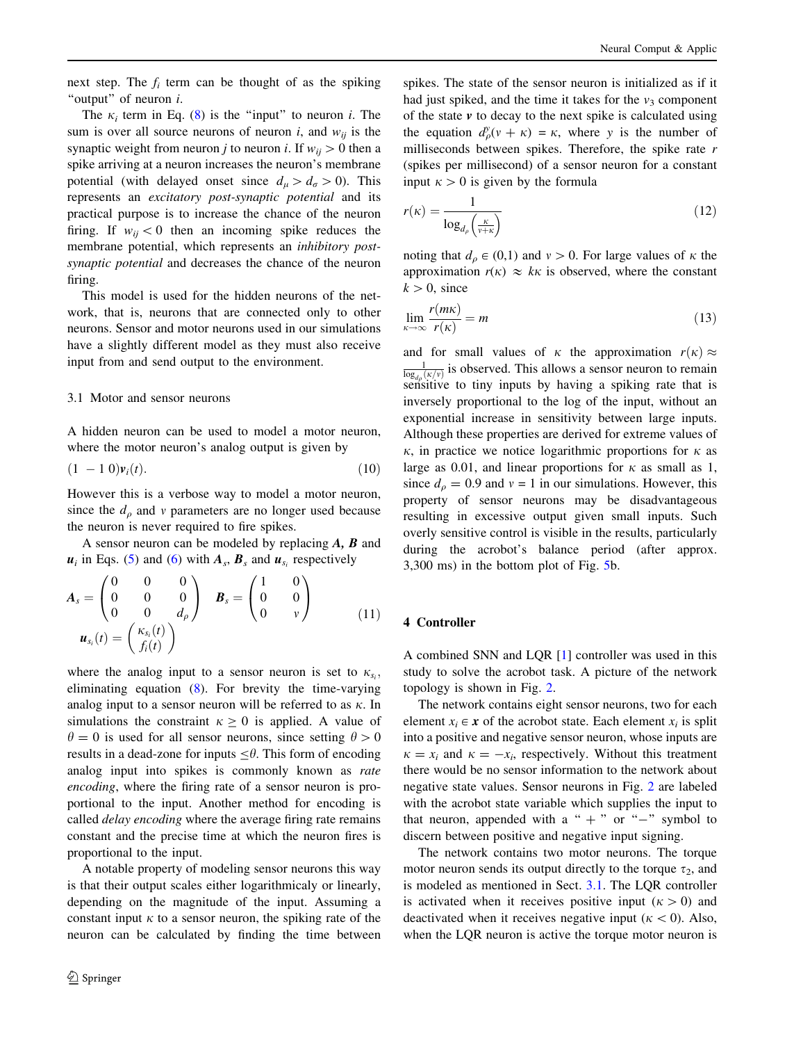<span id="page-3-0"></span>next step. The  $f_i$  term can be thought of as the spiking "output" of neuron  $i$ .

The  $\kappa_i$  term in Eq. ([8\)](#page-2-0) is the "input" to neuron i. The sum is over all source neurons of neuron i, and  $w_{ii}$  is the synaptic weight from neuron *j* to neuron *i*. If  $w_{ij} > 0$  then a spike arriving at a neuron increases the neuron's membrane potential (with delayed onset since  $d_u > d_{\sigma} > 0$ ). This represents an excitatory post-synaptic potential and its practical purpose is to increase the chance of the neuron firing. If  $w_{ij} < 0$  then an incoming spike reduces the membrane potential, which represents an inhibitory postsynaptic potential and decreases the chance of the neuron firing.

This model is used for the hidden neurons of the network, that is, neurons that are connected only to other neurons. Sensor and motor neurons used in our simulations have a slightly different model as they must also receive input from and send output to the environment.

#### 3.1 Motor and sensor neurons

A hidden neuron can be used to model a motor neuron, where the motor neuron's analog output is given by

$$
(1 - 1 0)\nu_i(t). \t\t(10)
$$

However this is a verbose way to model a motor neuron, since the  $d_{\rho}$  and v parameters are no longer used because the neuron is never required to fire spikes.

A sensor neuron can be modeled by replacing  $A$ ,  $B$  and  $u_i$  in Eqs. [\(5](#page-2-0)) and ([6\)](#page-2-0) with  $A_s$ ,  $B_s$  and  $u_{s_i}$  respectively

$$
\mathbf{A}_{s} = \begin{pmatrix} 0 & 0 & 0 \\ 0 & 0 & 0 \\ 0 & 0 & d_{\rho} \end{pmatrix} \quad \mathbf{B}_{s} = \begin{pmatrix} 1 & 0 \\ 0 & 0 \\ 0 & v \end{pmatrix}
$$

$$
\mathbf{u}_{s_i}(t) = \begin{pmatrix} \kappa_{s_i}(t) \\ f_i(t) \end{pmatrix}
$$
(11)

where the analog input to a sensor neuron is set to  $\kappa_{s_i}$ , eliminating equation [\(8](#page-2-0)). For brevity the time-varying analog input to a sensor neuron will be referred to as  $\kappa$ . In simulations the constraint  $\kappa \geq 0$  is applied. A value of  $\theta = 0$  is used for all sensor neurons, since setting  $\theta > 0$ results in a dead-zone for inputs  $\leq \theta$ . This form of encoding analog input into spikes is commonly known as *rate* encoding, where the firing rate of a sensor neuron is proportional to the input. Another method for encoding is called *delay encoding* where the average firing rate remains constant and the precise time at which the neuron fires is proportional to the input.

A notable property of modeling sensor neurons this way is that their output scales either logarithmicaly or linearly, depending on the magnitude of the input. Assuming a constant input  $\kappa$  to a sensor neuron, the spiking rate of the neuron can be calculated by finding the time between spikes. The state of the sensor neuron is initialized as if it had just spiked, and the time it takes for the  $v_3$  component of the state  $\nu$  to decay to the next spike is calculated using the equation  $d_p^y(v + \kappa) = \kappa$ , where y is the number of milliseconds between spikes. Therefore, the spike rate  $r$ (spikes per millisecond) of a sensor neuron for a constant input  $\kappa > 0$  is given by the formula

$$
r(\kappa) = \frac{1}{\log_{d_{\rho}\left(\frac{\kappa}{v+\kappa}\right)}}\tag{12}
$$

noting that  $d_{\rho} \in (0,1)$  and  $v > 0$ . For large values of  $\kappa$  the approximation  $r(\kappa) \approx k\kappa$  is observed, where the constant  $k > 0$ , since

$$
\lim_{\kappa \to \infty} \frac{r(m\kappa)}{r(\kappa)} = m \tag{13}
$$

and for small values of  $\kappa$  the approximation  $r(\kappa) \approx$  $\frac{1}{\log_{d\rho}(k/v)}$  is observed. This allows a sensor neuron to remain sensitive to tiny inputs by having a spiking rate that is inversely proportional to the log of the input, without an exponential increase in sensitivity between large inputs. Although these properties are derived for extreme values of  $\kappa$ , in practice we notice logarithmic proportions for  $\kappa$  as large as 0.01, and linear proportions for  $\kappa$  as small as 1, since  $d_{\rho} = 0.9$  and  $v = 1$  in our simulations. However, this property of sensor neurons may be disadvantageous resulting in excessive output given small inputs. Such overly sensitive control is visible in the results, particularly during the acrobot's balance period (after approx. 3,300 ms) in the bottom plot of Fig. [5](#page-5-0)b.

# 4 Controller

A combined SNN and LQR [[1\]](#page-6-0) controller was used in this study to solve the acrobot task. A picture of the network topology is shown in Fig. [2.](#page-4-0)

The network contains eight sensor neurons, two for each element  $x_i \in \mathbf{x}$  of the acrobot state. Each element  $x_i$  is split into a positive and negative sensor neuron, whose inputs are  $\kappa = x_i$  and  $\kappa = -x_i$ , respectively. Without this treatment there would be no sensor information to the network about negative state values. Sensor neurons in Fig. [2](#page-4-0) are labeled with the acrobot state variable which supplies the input to that neuron, appended with a " $+$ " or " $-$ " symbol to discern between positive and negative input signing.

The network contains two motor neurons. The torque motor neuron sends its output directly to the torque  $\tau_2$ , and is modeled as mentioned in Sect. 3.1. The LQR controller is activated when it receives positive input  $(k>0)$  and deactivated when it receives negative input ( $\kappa$  < 0). Also, when the LQR neuron is active the torque motor neuron is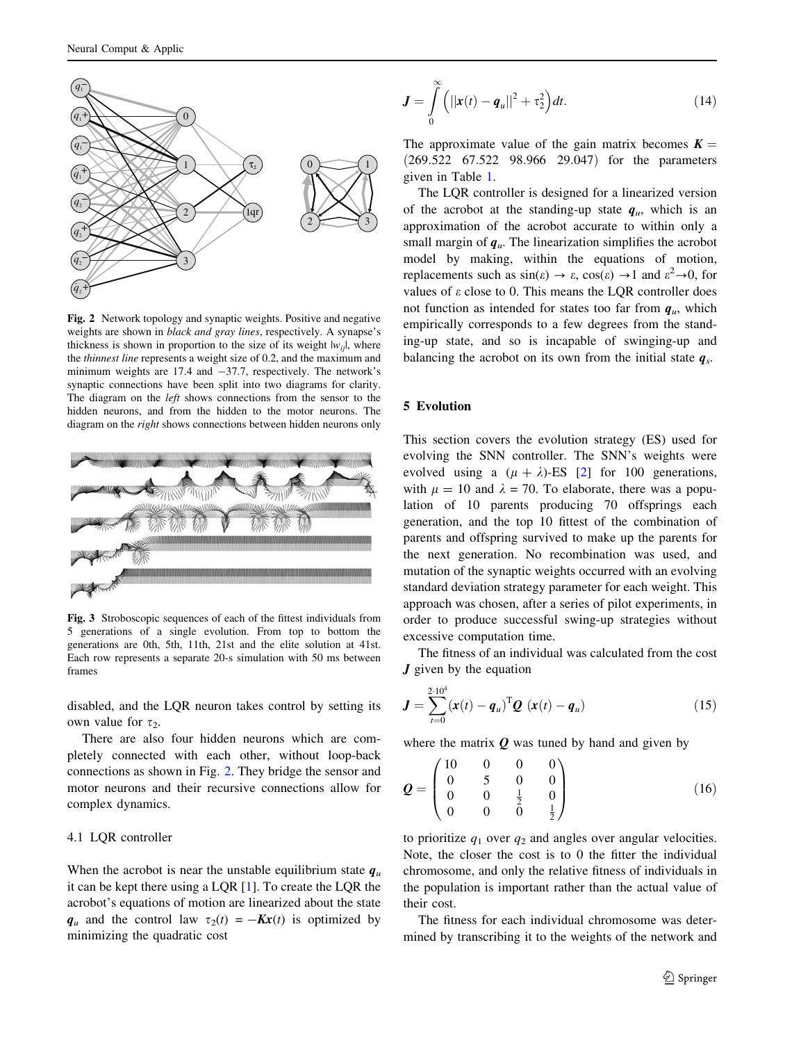<span id="page-4-0"></span>

Fig. 2 Network topology and synaptic weights. Positive and negative weights are shown in *black and gray lines*, respectively. A synapse's thickness is shown in proportion to the size of its weight  $|w_{ij}|$ , where the thinnest line represents a weight size of 0.2, and the maximum and minimum weights are  $17.4$  and  $-37.7$ , respectively. The network's synaptic connections have been split into two diagrams for clarity. The diagram on the *left* shows connections from the sensor to the hidden neurons, and from the hidden to the motor neurons. The diagram on the right shows connections between hidden neurons only



Fig. 3 Stroboscopic sequences of each of the fittest individuals from 5 generations of a single evolution. From top to bottom the generations are 0th, 5th, 11th, 21st and the elite solution at 41st. Each row represents a separate 20-s simulation with 50 ms between frames

disabled, and the LQR neuron takes control by setting its own value for  $\tau_2$ .

There are also four hidden neurons which are completely connected with each other, without loop-back connections as shown in Fig. 2. They bridge the sensor and motor neurons and their recursive connections allow for complex dynamics.

#### 4.1 LQR controller

When the acrobot is near the unstable equilibrium state  $q_u$ it can be kept there using a LQR [\[1](#page-6-0)]. To create the LQR the acrobot's equations of motion are linearized about the state  $q_u$  and the control law  $\tau_2(t) = -Kx(t)$  is optimized by minimizing the quadratic cost

$$
\mathbf{J} = \int_{0}^{\infty} (||\mathbf{x}(t) - \mathbf{q}_{u}||^{2} + \tau_{2}^{2}) dt.
$$
 (14)

The approximate value of the gain matrix becomes  $K =$  $(269.522 \quad 67.522 \quad 98.966 \quad 29.047)$  for the parameters given in Table [1](#page-2-0).

The LQR controller is designed for a linearized version of the acrobot at the standing-up state  $q_{\mu}$ , which is an approximation of the acrobot accurate to within only a small margin of  $q_u$ . The linearization simplifies the acrobot model by making, within the equations of motion, replacements such as  $sin(\varepsilon) \to \varepsilon$ ,  $cos(\varepsilon) \to 1$  and  $\varepsilon^2 \to 0$ , for values of  $\varepsilon$  close to 0. This means the LQR controller does not function as intended for states too far from  $q_u$ , which empirically corresponds to a few degrees from the standing-up state, and so is incapable of swinging-up and balancing the acrobot on its own from the initial state  $q_s$ .

## 5 Evolution

This section covers the evolution strategy (ES) used for evolving the SNN controller. The SNN's weights were evolved using a  $(\mu + \lambda)$ -ES [[2\]](#page-6-0) for 100 generations, with  $\mu = 10$  and  $\lambda = 70$ . To elaborate, there was a population of 10 parents producing 70 offsprings each generation, and the top 10 fittest of the combination of parents and offspring survived to make up the parents for the next generation. No recombination was used, and mutation of the synaptic weights occurred with an evolving standard deviation strategy parameter for each weight. This approach was chosen, after a series of pilot experiments, in order to produce successful swing-up strategies without excessive computation time.

The fitness of an individual was calculated from the cost  $J$  given by the equation

$$
\boldsymbol{J} = \sum_{t=0}^{2 \cdot 10^4} (\boldsymbol{x}(t) - \boldsymbol{q}_u)^{\mathrm{T}} \boldsymbol{Q} \ (\boldsymbol{x}(t) - \boldsymbol{q}_u)
$$
(15)

where the matrix  $\boldsymbol{Q}$  was tuned by hand and given by

$$
\mathbf{Q} = \begin{pmatrix} 10 & 0 & 0 & 0 \\ 0 & 5 & 0 & 0 \\ 0 & 0 & \frac{1}{2} & 0 \\ 0 & 0 & 0 & \frac{1}{2} \end{pmatrix}
$$
 (16)

to prioritize  $q_1$  over  $q_2$  and angles over angular velocities. Note, the closer the cost is to 0 the fitter the individual chromosome, and only the relative fitness of individuals in the population is important rather than the actual value of their cost.

The fitness for each individual chromosome was determined by transcribing it to the weights of the network and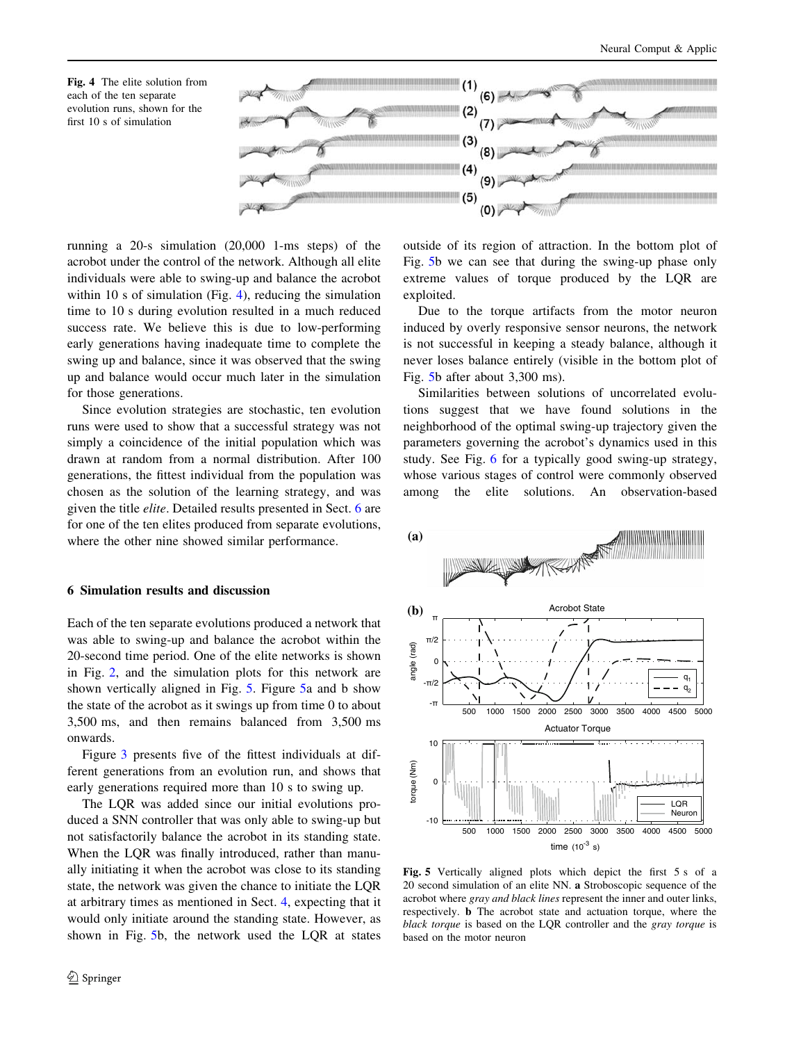<span id="page-5-0"></span>



running a 20-s simulation (20,000 1-ms steps) of the acrobot under the control of the network. Although all elite individuals were able to swing-up and balance the acrobot within 10 s of simulation (Fig. 4), reducing the simulation time to 10 s during evolution resulted in a much reduced success rate. We believe this is due to low-performing early generations having inadequate time to complete the swing up and balance, since it was observed that the swing up and balance would occur much later in the simulation for those generations.

Since evolution strategies are stochastic, ten evolution runs were used to show that a successful strategy was not simply a coincidence of the initial population which was drawn at random from a normal distribution. After 100 generations, the fittest individual from the population was chosen as the solution of the learning strategy, and was given the title elite. Detailed results presented in Sect. 6 are for one of the ten elites produced from separate evolutions, where the other nine showed similar performance.

### 6 Simulation results and discussion

Each of the ten separate evolutions produced a network that was able to swing-up and balance the acrobot within the 20-second time period. One of the elite networks is shown in Fig. [2,](#page-4-0) and the simulation plots for this network are shown vertically aligned in Fig. 5. Figure 5a and b show the state of the acrobot as it swings up from time 0 to about 3,500 ms, and then remains balanced from 3,500 ms onwards.

Figure [3](#page-4-0) presents five of the fittest individuals at different generations from an evolution run, and shows that early generations required more than 10 s to swing up.

The LQR was added since our initial evolutions produced a SNN controller that was only able to swing-up but not satisfactorily balance the acrobot in its standing state. When the LQR was finally introduced, rather than manually initiating it when the acrobot was close to its standing state, the network was given the chance to initiate the LQR at arbitrary times as mentioned in Sect. [4](#page-3-0), expecting that it would only initiate around the standing state. However, as shown in Fig. 5b, the network used the LQR at states outside of its region of attraction. In the bottom plot of Fig. 5b we can see that during the swing-up phase only extreme values of torque produced by the LQR are exploited.

Due to the torque artifacts from the motor neuron induced by overly responsive sensor neurons, the network is not successful in keeping a steady balance, although it never loses balance entirely (visible in the bottom plot of Fig. 5b after about 3,300 ms).

Similarities between solutions of uncorrelated evolutions suggest that we have found solutions in the neighborhood of the optimal swing-up trajectory given the parameters governing the acrobot's dynamics used in this study. See Fig. [6](#page-6-0) for a typically good swing-up strategy, whose various stages of control were commonly observed among the elite solutions. An observation-based



Fig. 5 Vertically aligned plots which depict the first 5 s of a 20 second simulation of an elite NN. a Stroboscopic sequence of the acrobot where gray and black lines represent the inner and outer links, respectively. b The acrobot state and actuation torque, where the black torque is based on the LQR controller and the gray torque is based on the motor neuron